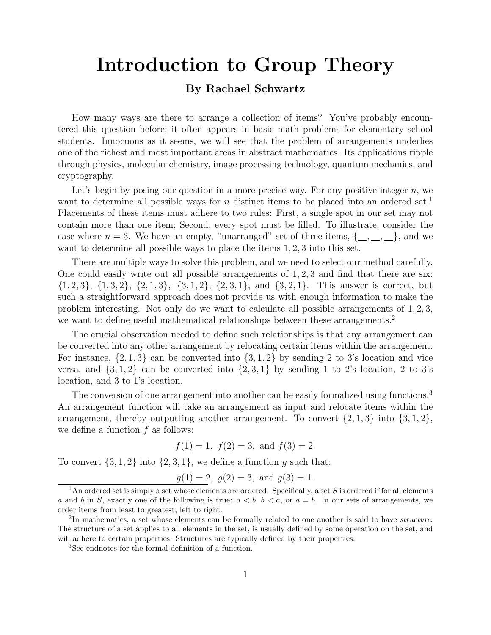## Introduction to Group Theory

## By Rachael Schwartz

How many ways are there to arrange a collection of items? You've probably encountered this question before; it often appears in basic math problems for elementary school students. Innocuous as it seems, we will see that the problem of arrangements underlies one of the richest and most important areas in abstract mathematics. Its applications ripple through physics, molecular chemistry, image processing technology, quantum mechanics, and cryptography.

Let's begin by posing our question in a more precise way. For any positive integer *n*, we want to determine all possible ways for *n* distinct items to be placed into an ordered set.<sup>1</sup> Placements of these items must adhere to two rules: First, a single spot in our set may not contain more than one item; Second, every spot must be filled. To illustrate, consider the case where  $n = 3$ . We have an empty, "unarranged" set of three items,  $\{\_\,,\_\,,\_\,,\_\}$ , and we want to determine all possible ways to place the items 1*,* 2*,* 3 into this set.

There are multiple ways to solve this problem, and we need to select our method carefully. One could easily write out all possible arrangements of 1*,* 2*,* 3 and find that there are six:  $\{1,2,3\}, \{1,3,2\}, \{2,1,3\}, \{3,1,2\}, \{2,3,1\}, \text{ and } \{3,2,1\}.$  This answer is correct, but such a straightforward approach does not provide us with enough information to make the problem interesting. Not only do we want to calculate all possible arrangements of 1*,* 2*,* 3, we want to define useful mathematical relationships between these arrangements.<sup>2</sup>

The crucial observation needed to define such relationships is that any arrangement can be converted into any other arrangement by relocating certain items within the arrangement. For instance,  $\{2, 1, 3\}$  can be converted into  $\{3, 1, 2\}$  by sending 2 to 3's location and vice versa, and  $\{3, 1, 2\}$  can be converted into  $\{2, 3, 1\}$  by sending 1 to 2's location, 2 to 3's location, and 3 to 1's location.

The conversion of one arrangement into another can be easily formalized using functions.<sup>3</sup> An arrangement function will take an arrangement as input and relocate items within the arrangement, thereby outputting another arrangement. To convert  $\{2, 1, 3\}$  into  $\{3, 1, 2\}$ , we define a function *f* as follows:

$$
f(1) = 1
$$
,  $f(2) = 3$ , and  $f(3) = 2$ .

To convert  $\{3, 1, 2\}$  into  $\{2, 3, 1\}$ , we define a function *g* such that:

$$
g(1) = 2
$$
,  $g(2) = 3$ , and  $g(3) = 1$ .

<sup>1</sup>An ordered set is simply a set whose elements are ordered. Specifically, a set *S* is ordered if for all elements *a* and *b* in *S*, exactly one of the following is true:  $a < b$ ,  $b < a$ , or  $a = b$ . In our sets of arrangements, we order items from least to greatest, left to right.

<sup>2</sup>In mathematics, a set whose elements can be formally related to one another is said to have *structure*. The structure of a set applies to all elements in the set, is usually defined by some operation on the set, and will adhere to certain properties. Structures are typically defined by their properties.

<sup>3</sup>See endnotes for the formal definition of a function.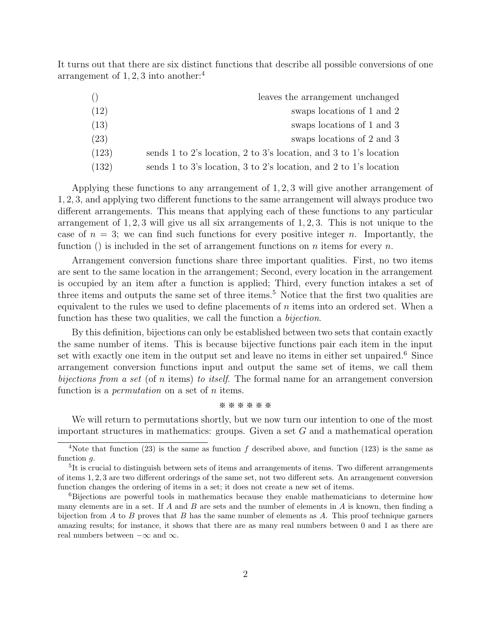It turns out that there are six distinct functions that describe all possible conversions of one arrangement of  $1, 2, 3$  into another:<sup>4</sup>

| ()    | leaves the arrangement unchanged                                  |
|-------|-------------------------------------------------------------------|
| (12)  | swaps locations of 1 and 2                                        |
| (13)  | swaps locations of 1 and 3                                        |
| (23)  | swaps locations of 2 and 3                                        |
| (123) | sends 1 to 2's location, 2 to 3's location, and 3 to 1's location |
| (132) | sends 1 to 3's location, 3 to 2's location, and 2 to 1's location |

Applying these functions to any arrangement of 1*,* 2*,* 3 will give another arrangement of 1, 2, 3, and applying two different functions to the same arrangement will always produce two different arrangements. This means that applying each of these functions to any particular arrangement of 1*,* 2*,* 3 will give us all six arrangements of 1*,* 2*,* 3. This is not unique to the case of  $n = 3$ ; we can find such functions for every positive integer *n*. Importantly, the function () is included in the set of arrangement functions on *n* items for every *n*.

Arrangement conversion functions share three important qualities. First, no two items are sent to the same location in the arrangement; Second, every location in the arrangement is occupied by an item after a function is applied; Third, every function intakes a set of three items and outputs the same set of three items.<sup>5</sup> Notice that the first two qualities are equivalent to the rules we used to define placements of *n* items into an ordered set. When a function has these two qualities, we call the function a *bijection*.

By this definition, bijections can only be established between two sets that contain exactly the same number of items. This is because bijective functions pair each item in the input set with exactly one item in the output set and leave no items in either set unpaired.<sup>6</sup> Since arrangement conversion functions input and output the same set of items, we call them *bijections from a set* (of *n* items) *to itself*. The formal name for an arrangement conversion function is a *permutation* on a set of *n* items.

## ※※※※※※

We will return to permutations shortly, but we now turn our intention to one of the most important structures in mathematics: groups. Given a set *G* and a mathematical operation

<sup>&</sup>lt;sup>4</sup>Note that function (23) is the same as function  $f$  described above, and function (123) is the same as function *g*.

 $5$ It is crucial to distinguish between sets of items and arrangements of items. Two different arrangements of items 1, 2, 3 are two different orderings of the same set, not two different sets. An arrangement conversion function changes the ordering of items in a set; it does not create a new set of items.

<sup>6</sup>Bijections are powerful tools in mathematics because they enable mathematicians to determine how many elements are in a set. If *A* and *B* are sets and the number of elements in *A* is known, then finding a bijection from *A* to *B* proves that *B* has the same number of elements as *A*. This proof technique garners amazing results; for instance, it shows that there are as many real numbers between 0 and 1 as there are real numbers between  $-\infty$  and  $\infty$ .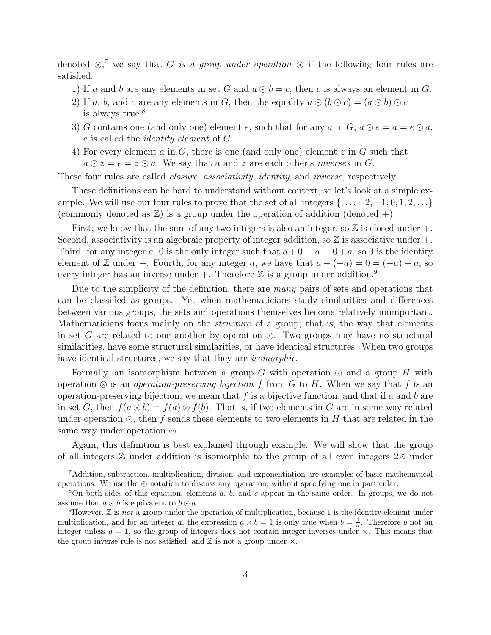denoted  $\odot$ ,<sup>7</sup> we say that *G is a group under operation*  $\odot$  if the following four rules are satisfied:

- 1) If *a* and *b* are any elements in set *G* and  $a \odot b = c$ , then *c* is always an element in *G*.
- 2) If *a*, *b*, and *c* are any elements in *G*, then the equality  $a \odot (b \odot c) = (a \odot b) \odot c$ is always true.<sup>8</sup>
- 3) *G* contains one (and only one) element *e*, such that for any *a* in *G*,  $a \odot e = a = e \odot a$ . *e* is called the *identity element* of *G*.
- 4) For every element *a* in *G*, there is one (and only one) element *z* in *G* such that  $a \odot z = e = z \odot a$ . We say that *a* and *z* are each other's *inverses* in *G*.

These four rules are called *closure*, *associativity*, *identity*, and *inverse*, respectively.

These definitions can be hard to understand without context, so let's look at a simple example. We will use our four rules to prove that the set of all integers  $\{\ldots, -2, -1, 0, 1, 2, \ldots\}$ (commonly denoted as  $\mathbb{Z}$ ) is a group under the operation of addition (denoted +).

First, we know that the sum of any two integers is also an integer, so  $\mathbb Z$  is closed under  $+$ . Second, associativity is an algebraic property of integer addition, so  $\mathbb Z$  is associative under  $+$ . Third, for any integer *a*, 0 is the only integer such that  $a+0 = a = 0+a$ , so 0 is the identity element of Z under +. Fourth, for any integer a, we have that  $a + (-a) = 0 = (-a) + a$ , so every integer has an inverse under  $+$ . Therefore  $\mathbb Z$  is a group under addition.<sup>9</sup>

Due to the simplicity of the definition, there are *many* pairs of sets and operations that can be classified as groups. Yet when mathematicians study similarities and differences between various groups, the sets and operations themselves become relatively unimportant. Mathematicians focus mainly on the *structure* of a group; that is, the way that elements in set *G* are related to one another by operation  $\odot$ . Two groups may have no structural similarities, have some structural similarities, or have identical structures. When two groups have identical structures, we say that they are *isomorphic*.

Formally, an isomorphism between a group  $G$  with operation  $\odot$  and a group  $H$  with operation  $\otimes$  is an *operation-preserving bijection* f from G to H. When we say that f is an operation-preserving bijection, we mean that *f* is a bijective function, and that if *a* and *b* are in set *G*, then  $f(a \odot b) = f(a) \otimes f(b)$ . That is, if two elements in *G* are in some way related under operation  $\odot$ , then f sends these elements to two elements in H that are related in the same way under operation  $\otimes$ .

Again, this definition is best explained through example. We will show that the group of all integers  $\mathbb Z$  under addition is isomorphic to the group of all even integers  $2\mathbb Z$  under

<sup>7</sup>Addition, subtraction, multiplication, division, and exponentiation are examples of basic mathematical operations. We use the  $\odot$  notation to discuss any operation, without specifying one in particular.

<sup>8</sup>On both sides of this equation, elements *a*, *b*, and *c* appear in the same order. In groups, we do not assume that  $a \odot b$  is equivalent to  $b \odot a$ .<br><sup>9</sup>However, Z is *not* a group under the operation of multiplication, because 1 is the identity element under

multiplication, and for an integer *a*, the expression  $a \times b = 1$  is only true when  $b = \frac{1}{a}$ . Therefore *b* not an integer unless  $a = 1$ , so the group of integers does not contain integer inverses under  $\times$ . This means that the group inverse rule is not satisfied, and  $\mathbb Z$  is not a group under  $\times$ .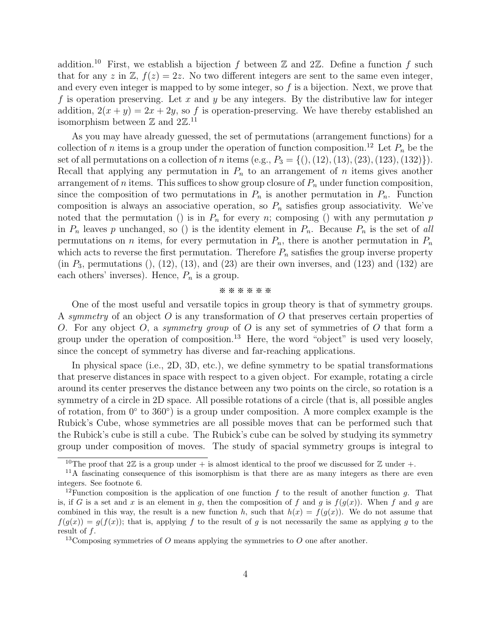addition.<sup>10</sup> First, we establish a bijection  $f$  between  $\mathbb Z$  and  $2\mathbb Z$ . Define a function  $f$  such that for any *z* in  $\mathbb{Z}$ ,  $f(z)=2z$ . No two different integers are sent to the same even integer, and every even integer is mapped to by some integer, so *f* is a bijection. Next, we prove that *f* is operation preserving. Let *x* and *y* be any integers. By the distributive law for integer addition,  $2(x + y) = 2x + 2y$ , so f is operation-preserving. We have thereby established an isomorphism between  $\mathbb Z$  and  $2\mathbb Z^{11}$ 

As you may have already guessed, the set of permutations (arrangement functions) for a collection of *n* items is a group under the operation of function composition.<sup>12</sup> Let  $P_n$  be the set of all permutations on a collection of *n* items (e.g.,  $P_3 = \{(), (12), (13), (23), (123), (132)\}.$ Recall that applying any permutation in  $P_n$  to an arrangement of *n* items gives another arrangement of *n* items. This suffices to show group closure of  $P_n$  under function composition, since the composition of two permutations in  $P_n$  is another permutation in  $P_n$ . Function composition is always an associative operation, so  $P_n$  satisfies group associativity. We've noted that the permutation () is in  $P_n$  for every *n*; composing () with any permutation *p* in  $P_n$  leaves p unchanged, so () is the identity element in  $P_n$ . Because  $P_n$  is the set of all permutations on *n* items, for every permutation in  $P_n$ , there is another permutation in  $P_n$ which acts to reverse the first permutation. Therefore  $P_n$  satisfies the group inverse property  $(in P<sub>3</sub>, permutations (), (12), (13), and (23) are their own inverses, and (123) and (132) are$ each others' inverses). Hence,  $P_n$  is a group.

## ※※※※※※

One of the most useful and versatile topics in group theory is that of symmetry groups. A *symmetry* of an object *O* is any transformation of *O* that preserves certain properties of *O*. For any object *O*, a *symmetry group* of *O* is any set of symmetries of *O* that form a group under the operation of composition.<sup>13</sup> Here, the word "object" is used very loosely, since the concept of symmetry has diverse and far-reaching applications.

In physical space (i.e., 2D, 3D, etc.), we define symmetry to be spatial transformations that preserve distances in space with respect to a given object. For example, rotating a circle around its center preserves the distance between any two points on the circle, so rotation is a symmetry of a circle in 2D space. All possible rotations of a circle (that is, all possible angles of rotation, from  $0^{\circ}$  to  $360^{\circ}$ ) is a group under composition. A more complex example is the Rubick's Cube, whose symmetries are all possible moves that can be performed such that the Rubick's cube is still a cube. The Rubick's cube can be solved by studying its symmetry group under composition of moves. The study of spacial symmetry groups is integral to

<sup>&</sup>lt;sup>10</sup>The proof that  $2\mathbb{Z}$  is a group under + is almost identical to the proof we discussed for  $\mathbb{Z}$  under +.

<sup>&</sup>lt;sup>11</sup>A fascinating consequence of this isomorphism is that there are as many integers as there are even integers. See footnote 6.

<sup>&</sup>lt;sup>12</sup>Function composition is the application of one function  $f$  to the result of another function  $g$ . That is, if *G* is a set and *x* is an element in *g*, then the composition of *f* and *g* is  $f(g(x))$ . When *f* and *g* are combined in this way, the result is a new function *h*, such that  $h(x) = f(g(x))$ . We do not assume that  $f(g(x)) = g(f(x))$ ; that is, applying f to the result of g is not necessarily the same as applying g to the result of *f*.

<sup>13</sup>Composing symmetries of *O* means applying the symmetries to *O* one after another.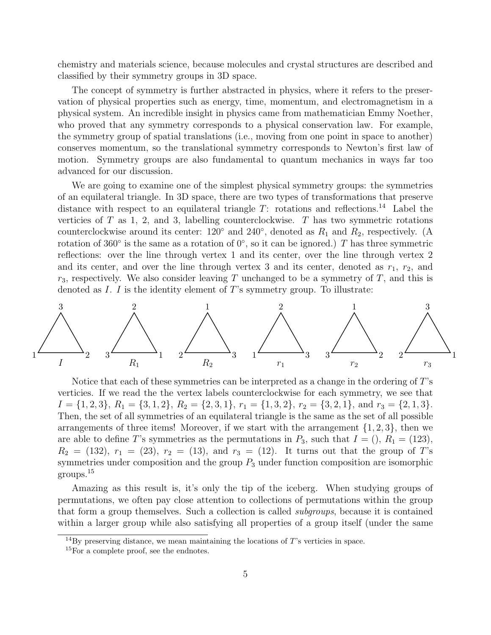chemistry and materials science, because molecules and crystal structures are described and classified by their symmetry groups in 3D space.

The concept of symmetry is further abstracted in physics, where it refers to the preservation of physical properties such as energy, time, momentum, and electromagnetism in a physical system. An incredible insight in physics came from mathematician Emmy Noether, who proved that any symmetry corresponds to a physical conservation law. For example, the symmetry group of spatial translations (i.e., moving from one point in space to another) conserves momentum, so the translational symmetry corresponds to Newton's first law of motion. Symmetry groups are also fundamental to quantum mechanics in ways far too advanced for our discussion.

We are going to examine one of the simplest physical symmetry groups: the symmetries of an equilateral triangle. In 3D space, there are two types of transformations that preserve distance with respect to an equilateral triangle *T*: rotations and reflections.<sup>14</sup> Label the verticies of *T* as 1, 2, and 3, labelling counterclockwise. *T* has two symmetric rotations counterclockwise around its center:  $120^{\circ}$  and  $240^{\circ}$ , denoted as  $R_1$  and  $R_2$ , respectively. (A rotation of 360 $^{\circ}$  is the same as a rotation of 0 $^{\circ}$ , so it can be ignored.) *T* has three symmetric reflections: over the line through vertex 1 and its center, over the line through vertex 2 and its center, and over the line through vertex 3 and its center, denoted as  $r_1$ ,  $r_2$ , and *r*3, respectively. We also consider leaving *T* unchanged to be a symmetry of *T*, and this is denoted as *I*. *I* is the identity element of *T*'s symmetry group. To illustrate:



Notice that each of these symmetries can be interpreted as a change in the ordering of *T*'s verticies. If we read the the vertex labels counterclockwise for each symmetry, we see that  $I = \{1, 2, 3\}, R_1 = \{3, 1, 2\}, R_2 = \{2, 3, 1\}, r_1 = \{1, 3, 2\}, r_2 = \{3, 2, 1\}, \text{ and } r_3 = \{2, 1, 3\}.$ Then, the set of all symmetries of an equilateral triangle is the same as the set of all possible arrangements of three items! Moreover, if we start with the arrangement *{*1*,* 2*,* 3*}*, then we are able to define *T*'s symmetries as the permutations in  $P_3$ , such that  $I = (123)$ ,  $R_2 = (132), r_1 = (23), r_2 = (13),$  and  $r_3 = (12)$ . It turns out that the group of *T*'s symmetries under composition and the group  $P_3$  under function composition are isomorphic groups.<sup>15</sup>

Amazing as this result is, it's only the tip of the iceberg. When studying groups of permutations, we often pay close attention to collections of permutations within the group that form a group themselves. Such a collection is called *subgroups*, because it is contained within a larger group while also satisfying all properties of a group itself (under the same

 $14\text{By preserving distance, we mean maintaining the locations of }T\text{'s vertices in space.}$ 

<sup>15</sup>For a complete proof, see the endnotes.